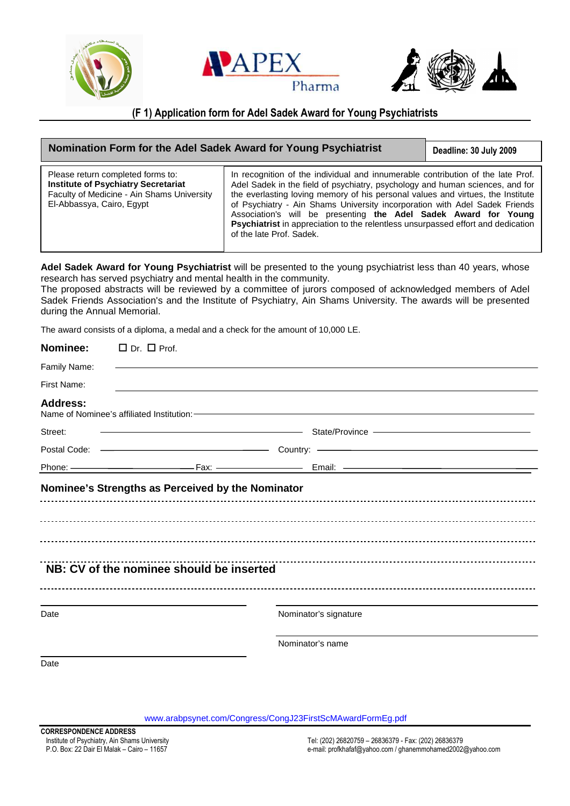





## **(F 1) Application form for Adel Sadek Award for Young Psychiatrists**

| Nomination Form for the Adel Sadek Award for Young Psychiatrist                                                                                            |                                                                                                                                                                                                                                                                                                                                                                                                                                                                                                                      | Deadline: 30 July 2009 |
|------------------------------------------------------------------------------------------------------------------------------------------------------------|----------------------------------------------------------------------------------------------------------------------------------------------------------------------------------------------------------------------------------------------------------------------------------------------------------------------------------------------------------------------------------------------------------------------------------------------------------------------------------------------------------------------|------------------------|
| Please return completed forms to:<br><b>Institute of Psychiatry Secretariat</b><br>Faculty of Medicine - Ain Shams University<br>El-Abbassya, Cairo, Egypt | In recognition of the individual and innumerable contribution of the late Prof.<br>Adel Sadek in the field of psychiatry, psychology and human sciences, and for<br>the everlasting loving memory of his personal values and virtues, the Institute<br>of Psychiatry - Ain Shams University incorporation with Adel Sadek Friends<br>Association's will be presenting the Adel Sadek Award for Young<br>Psychiatrist in appreciation to the relentless unsurpassed effort and dedication<br>of the late Prof. Sadek. |                        |

**Adel Sadek Award for Young Psychiatrist** will be presented to the young psychiatrist less than 40 years, whose research has served psychiatry and mental health in the community.

The proposed abstracts will be reviewed by a committee of jurors composed of acknowledged members of Adel Sadek Friends Association's and the Institute of Psychiatry, Ain Shams University. The awards will be presented during the Annual Memorial.

The award consists of a diploma, a medal and a check for the amount of 10,000 LE.

| Nominee:        | $\Box$ Dr. $\Box$ Prof.                  |                                                                                                                                                                                                                                                |  |
|-----------------|------------------------------------------|------------------------------------------------------------------------------------------------------------------------------------------------------------------------------------------------------------------------------------------------|--|
| Family Name:    |                                          |                                                                                                                                                                                                                                                |  |
| First Name:     |                                          |                                                                                                                                                                                                                                                |  |
| <b>Address:</b> |                                          |                                                                                                                                                                                                                                                |  |
| Street:         |                                          | <u>State</u> /Province <b>Construction of the Construction Construction</b> State/Province <b>Construction</b> Construction and the Construction of the Construction of the Construction of the Construction of the Construction of the Constr |  |
|                 |                                          |                                                                                                                                                                                                                                                |  |
|                 |                                          |                                                                                                                                                                                                                                                |  |
|                 | NB: CV of the nominee should be inserted |                                                                                                                                                                                                                                                |  |
| Date            |                                          | Nominator's signature                                                                                                                                                                                                                          |  |
|                 |                                          | Nominator's name                                                                                                                                                                                                                               |  |
| Date            |                                          |                                                                                                                                                                                                                                                |  |

<www.arabpsynet.com/Congress/CongJ23FirstScMAwardFormEg.pdf>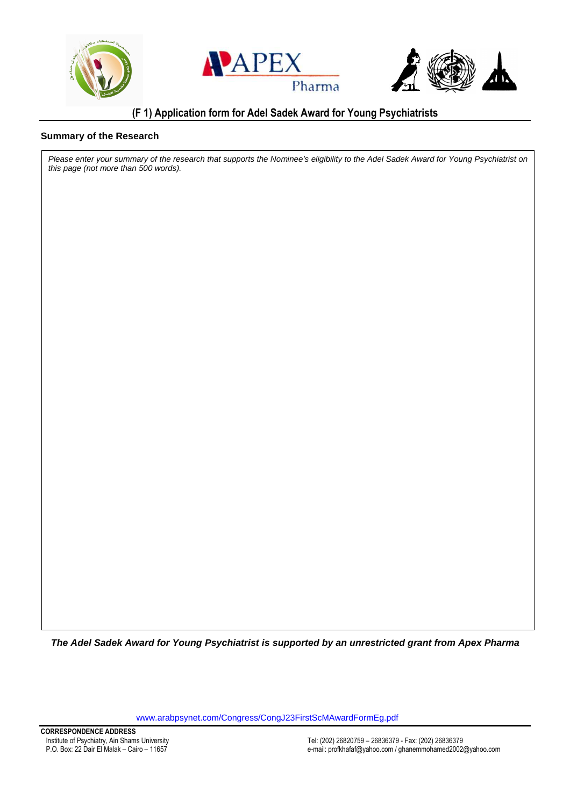





# **(F 1) Application form for Adel Sadek Award for Young Psychiatrists**

#### **Summary of the Research**

Please enter your summary of the research that supports the Nominee's eligibility to the Adel Sadek Award for Young Psychiatrist on this page (not more than 500 words).

**The Adel Sadek Award for Young Psychiatrist is supported by an unrestricted grant from Apex Pharma** 

<www.arabpsynet.com/Congress/CongJ23FirstScMAwardFormEg.pdf>